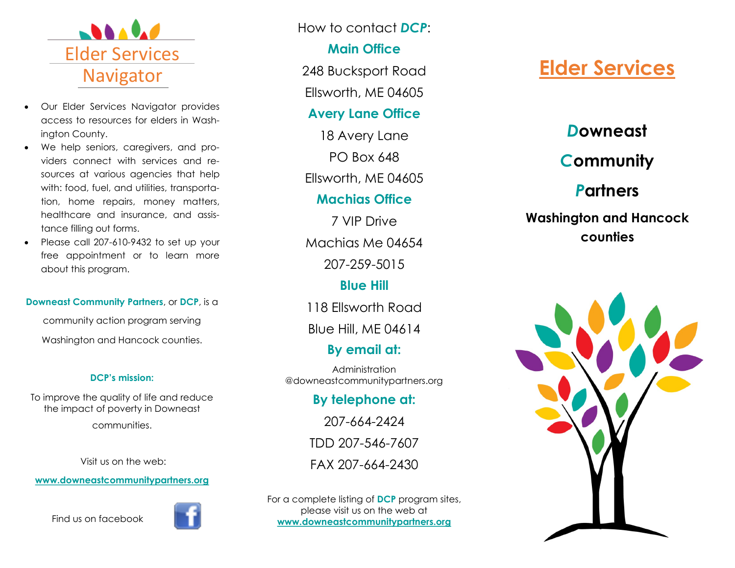

- Our Elder Services Navigator provides access to resources for elders in Washington County.
- We help seniors, caregivers, and providers connect with services and resources at various agencies that help with: food, fuel, and utilities, transportation, home repairs, money matters, healthcare and insurance, and assistance filling out forms.
- Please call 207-610-9432 to set up your free appointment or to learn more about this program.

### **Downeast Community Partners**, or **DCP**, is a

community action program serving Washington and Hancock counties.

### **DCP's mission:**

To improve the quality of life and reduce the impact of poverty in Downeast

communities.

Visit us on the web:

**www.downeastcommunitypartners.org**

Find us on facebook



How to contact *DCP*:

### **Main Office**

248 Bucksport Road

Ellsworth, ME 04605

### **Avery Lane Office**

18 Avery Lane PO Box 648

Ellsworth, ME 04605

### **Machias Office**

7 VIP Drive Machias Me 04654 207-259-5015

## **Blue Hill**

118 Ellsworth Road

Blue Hill, ME 04614

## **By email at:**

Administration @downeastcommunitypartners.org

## **By telephone at:**

207-664-2424 TDD 207-546-7607 FAX 207-664-2430

For a complete listing of **DCP** program sites, please visit us on the web at **www.downeastcommunitypartners.org**

# **Elder Services**

## *D***owneast**

# *C***ommunity**

# *P***artners**

## **Washington and Hancock counties**